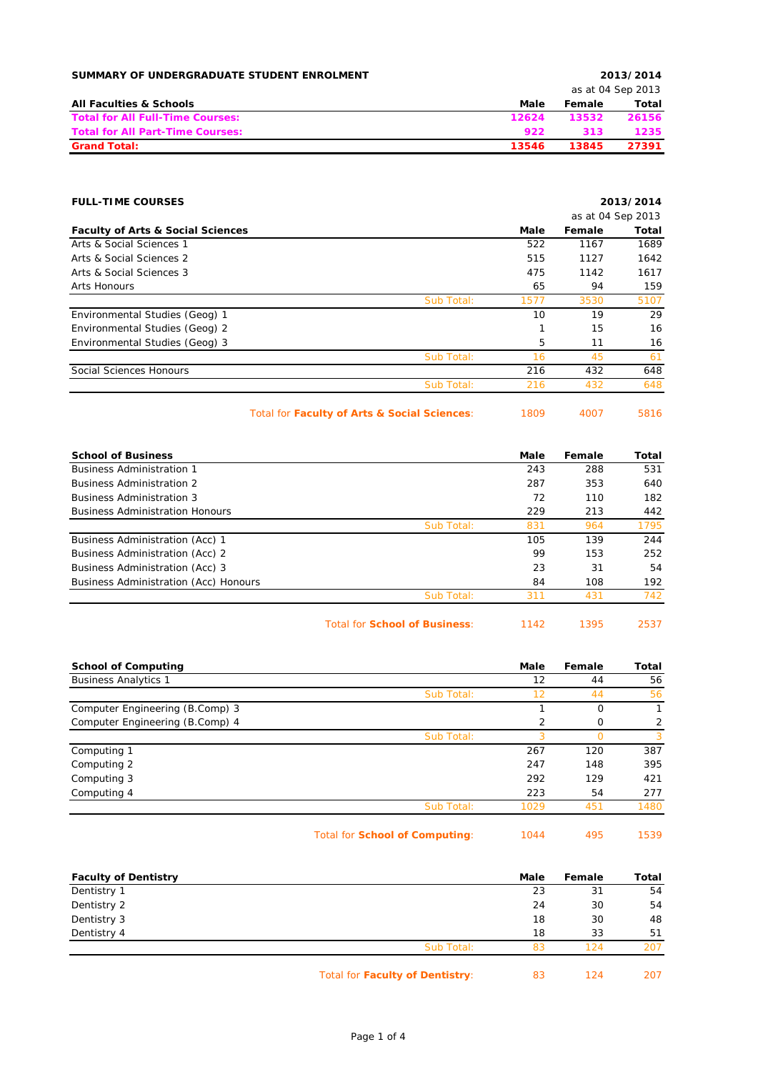| SUMMARY OF UNDERGRADUATE STUDENT ENROLMENT |       |        | 2013/2014         |
|--------------------------------------------|-------|--------|-------------------|
|                                            |       |        | as at 04 Sep 2013 |
| <b>All Faculties &amp; Schools</b>         | Male  | Female | Total             |
| <b>Total for All Full-Time Courses:</b>    | 12624 | 13532  | 26156             |
| <b>Total for All Part-Time Courses:</b>    | 922   | 313    | 1235              |
| <b>Grand Total:</b>                        | 13546 | 13845  | 27391             |

|      |        | 2013/2014         |
|------|--------|-------------------|
|      |        | as at 04 Sep 2013 |
| Male | Female | Total             |
| 522  | 1167   | 1689              |
| 515  | 1127   | 1642              |
| 475  | 1142   | 1617              |
| 65   | 94     | 159               |
| 1577 | 3530   | 5107              |
| 10   | 19     | 29                |
|      | 15     | 16                |
| 5    | 11     | 16                |
| 16   | 45     | 61                |
| 216  | 432    | 648               |
| 216  | 432    | 648               |
|      |        |                   |

Total for **Faculty of Arts & Social Sciences**: 1809 4007 5816

| <b>School of Business</b>                    |                                      | Male | Female | Total |
|----------------------------------------------|--------------------------------------|------|--------|-------|
| <b>Business Administration 1</b>             |                                      | 243  | 288    | 531   |
| <b>Business Administration 2</b>             |                                      | 287  | 353    | 640   |
| <b>Business Administration 3</b>             |                                      | 72   | 110    | 182   |
| <b>Business Administration Honours</b>       |                                      | 229  | 213    | 442   |
|                                              | Sub Total:                           | 831  | 964    | 1795  |
| Business Administration (Acc) 1              |                                      | 105  | 139    | 244   |
| Business Administration (Acc) 2              |                                      | 99   | 153    | 252   |
| Business Administration (Acc) 3              |                                      | 23   | 31     | 54    |
| <b>Business Administration (Acc) Honours</b> |                                      | 84   | 108    | 192   |
|                                              | Sub Total:                           | 311  | 431    | 742   |
|                                              | <b>Total for School of Business:</b> | 1142 | 1395   | 2537  |

| <b>School of Computing</b>      |            | Male | Female | Total |
|---------------------------------|------------|------|--------|-------|
| <b>Business Analytics 1</b>     |            | 12   | 44     | 56    |
|                                 | Sub Total: | 12   | 44     | 56    |
| Computer Engineering (B.Comp) 3 |            |      | 0      |       |
| Computer Engineering (B.Comp) 4 |            | 2    | O      | 2     |
|                                 | Sub Total: | 3    |        | 3     |
| Computing 1                     |            | 267  | 120    | 387   |
| Computing 2                     |            | 247  | 148    | 395   |
| Computing 3                     |            | 292  | 129    | 421   |
| Computing 4                     |            | 223  | 54     | 277   |
|                                 | Sub Total: | 1029 | 451    | 1480  |
|                                 |            |      |        |       |

Total for **School of Computing**: 1044 495 1539

| <b>Faculty of Dentistry</b> |                                 | Male | Female | Total |
|-----------------------------|---------------------------------|------|--------|-------|
| Dentistry 1                 |                                 | 23   | 31     | 54    |
| Dentistry 2                 |                                 | 24   | 30     | 54    |
| Dentistry 3                 |                                 | 18   | 30     | 48    |
| Dentistry 4                 |                                 | 18   | 33     | 51    |
|                             | Sub Total:                      | 83   | 124    | 207   |
|                             | Total for Faculty of Dentistry: | 83   | 124    | 207   |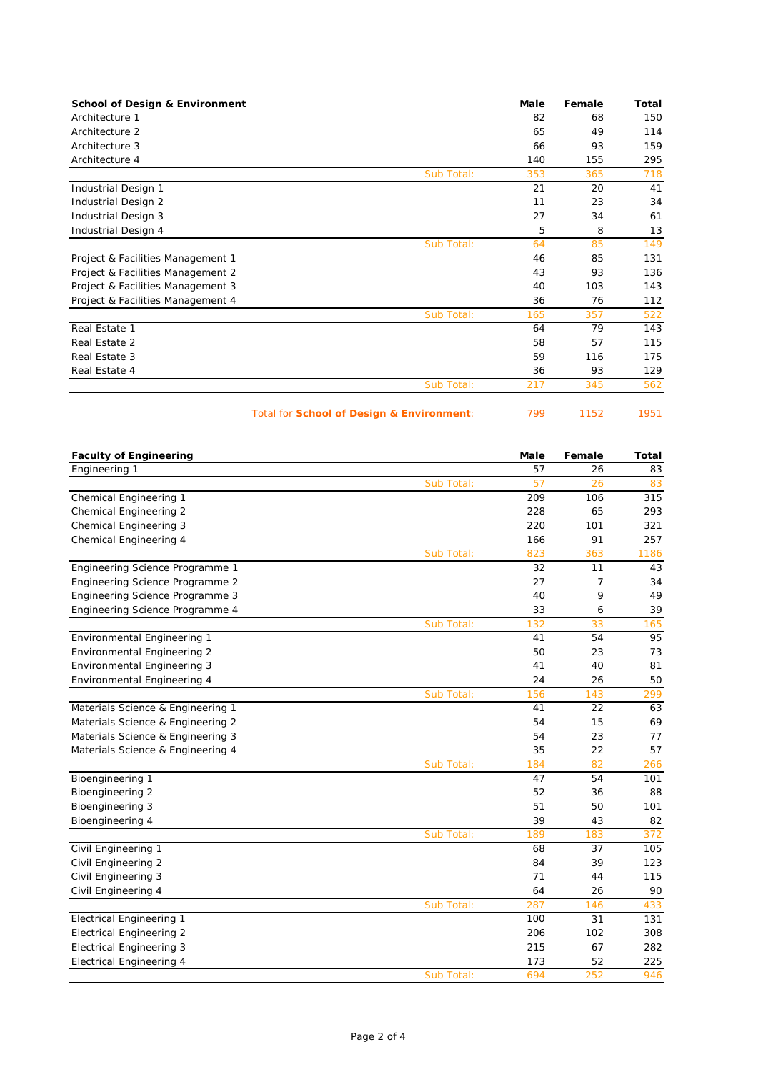| <b>School of Design &amp; Environment</b> |            | Male | Female | Total |
|-------------------------------------------|------------|------|--------|-------|
| Architecture 1                            |            | 82   | 68     | 150   |
| Architecture 2                            |            | 65   | 49     | 114   |
| Architecture 3                            |            | 66   | 93     | 159   |
| Architecture 4                            |            | 140  | 155    | 295   |
|                                           | Sub Total: | 353  | 365    | 718   |
| Industrial Design 1                       |            | 21   | 20     | 41    |
| Industrial Design 2                       |            | 11   | 23     | 34    |
| Industrial Design 3                       |            | 27   | 34     | 61    |
| Industrial Design 4                       |            | 5    | 8      | 13    |
|                                           | Sub Total: | 64   | 85     | 149   |
| Project & Facilities Management 1         |            | 46   | 85     | 131   |
| Project & Facilities Management 2         |            | 43   | 93     | 136   |
| Project & Facilities Management 3         |            | 40   | 103    | 143   |
| Project & Facilities Management 4         |            | 36   | 76     | 112   |
|                                           | Sub Total: | 165  | 357    | 522   |
| Real Estate 1                             |            | 64   | 79     | 143   |
| Real Estate 2                             |            | 58   | 57     | 115   |
| Real Estate 3                             |            | 59   | 116    | 175   |
| Real Estate 4                             |            | 36   | 93     | 129   |
|                                           | Sub Total: | 217  | 345    | 562   |

Total for **School of Design & Environment**: 799 1152 1951

| <b>Faculty of Engineering</b>      |            | Male | Female | <b>Total</b> |
|------------------------------------|------------|------|--------|--------------|
| Engineering 1                      |            | 57   | 26     | 83           |
|                                    | Sub Total: | 57   | 26     | 83           |
| Chemical Engineering 1             |            | 209  | 106    | 315          |
| <b>Chemical Engineering 2</b>      |            | 228  | 65     | 293          |
| <b>Chemical Engineering 3</b>      |            | 220  | 101    | 321          |
| Chemical Engineering 4             |            | 166  | 91     | 257          |
|                                    | Sub Total: | 823  | 363    | 1186         |
| Engineering Science Programme 1    |            | 32   | 11     | 43           |
| Engineering Science Programme 2    |            | 27   | 7      | 34           |
| Engineering Science Programme 3    |            | 40   | 9      | 49           |
| Engineering Science Programme 4    |            | 33   | 6      | 39           |
|                                    | Sub Total: | 132  | 33     | 165          |
| <b>Environmental Engineering 1</b> |            | 41   | 54     | 95           |
| Environmental Engineering 2        |            | 50   | 23     | 73           |
| <b>Environmental Engineering 3</b> |            | 41   | 40     | 81           |
| <b>Environmental Engineering 4</b> |            | 24   | 26     | 50           |
|                                    | Sub Total: | 156  | 143    | 299          |
| Materials Science & Engineering 1  |            | 41   | 22     | 63           |
| Materials Science & Engineering 2  |            | 54   | 15     | 69           |
| Materials Science & Engineering 3  |            | 54   | 23     | 77           |
| Materials Science & Engineering 4  |            | 35   | 22     | 57           |
|                                    | Sub Total: | 184  | 82     | 266          |
| Bioengineering 1                   |            | 47   | 54     | 101          |
| Bioengineering 2                   |            | 52   | 36     | 88           |
| Bioengineering 3                   |            | 51   | 50     | 101          |
| Bioengineering 4                   |            | 39   | 43     | 82           |
|                                    | Sub Total: | 189  | 183    | 372          |
| Civil Engineering 1                |            | 68   | 37     | 105          |
| Civil Engineering 2                |            | 84   | 39     | 123          |
| Civil Engineering 3                |            | 71   | 44     | 115          |
| Civil Engineering 4                |            | 64   | 26     | 90           |
|                                    | Sub Total: | 287  | 146    | 433          |
| <b>Electrical Engineering 1</b>    |            | 100  | 31     | 131          |
| <b>Electrical Engineering 2</b>    |            | 206  | 102    | 308          |
| <b>Electrical Engineering 3</b>    |            | 215  | 67     | 282          |
| <b>Electrical Engineering 4</b>    |            | 173  | 52     | 225          |
|                                    | Sub Total: | 694  | 252    | 946          |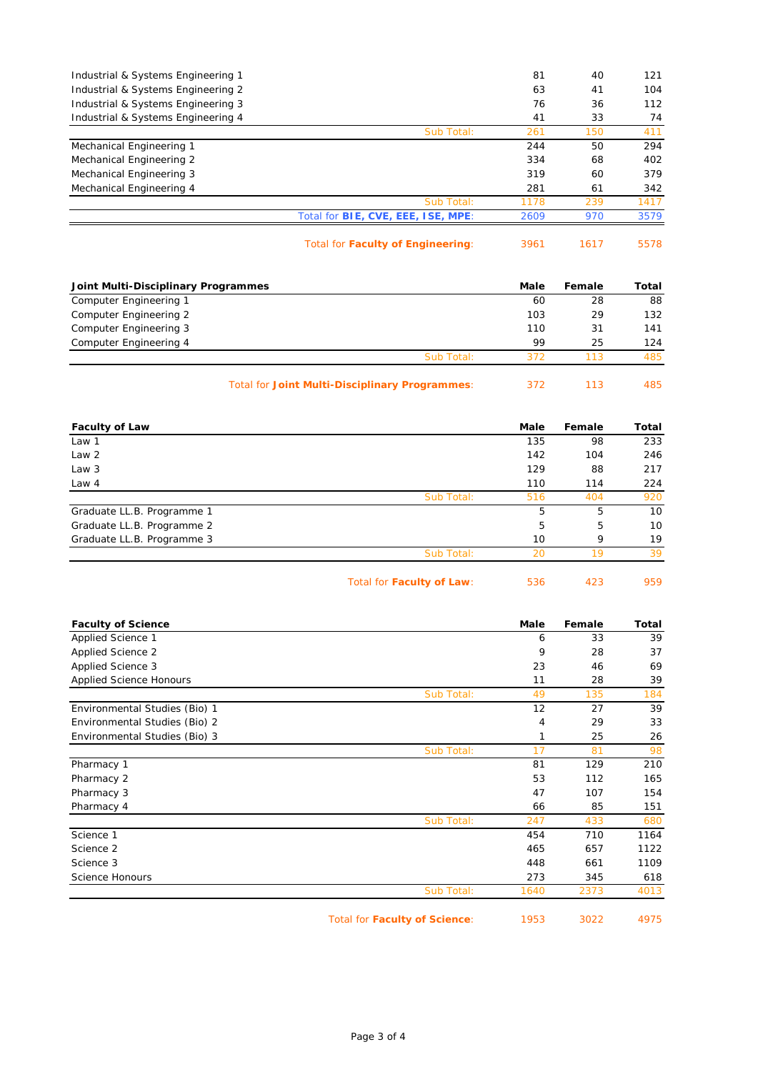| Industrial & Systems Engineering 1 |                                           | 81   | 40  | 121  |
|------------------------------------|-------------------------------------------|------|-----|------|
| Industrial & Systems Engineering 2 |                                           | 63   | 41  | 104  |
| Industrial & Systems Engineering 3 |                                           | 76   | 36  | 112  |
| Industrial & Systems Engineering 4 |                                           | 41   | 33  | 74   |
|                                    | Sub Total:                                | 261  | 150 | 411  |
| Mechanical Engineering 1           |                                           | 244  | 50  | 294  |
| Mechanical Engineering 2           |                                           | 334  | 68  | 402  |
| Mechanical Engineering 3           |                                           | 319  | 60  | 379  |
| Mechanical Engineering 4           |                                           | 281  | 61  | 342  |
|                                    | Sub Total:                                | 1178 | 239 | 1417 |
|                                    | Total for <b>BIE, CVE, EEE, ISE, MPE:</b> | 2609 | 970 | 3579 |
|                                    |                                           |      |     |      |

Total for **Faculty of Engineering**: 3961 1617 5578

| 1617 |  |
|------|--|
|      |  |

| Joint Multi-Disciplinary Programmes            | Male | Female | Total |
|------------------------------------------------|------|--------|-------|
| Computer Engineering 1                         | 60   | 28     | 88    |
| Computer Engineering 2                         | 103  | 29     | 132   |
| Computer Engineering 3                         | 110  | 31     | 141   |
| Computer Engineering 4                         | 99   | 25     | 124   |
| Sub Total:                                     | 372  | 113    | 485   |
| Total for Joint Multi-Disciplinary Programmes: | 372  | 113    | 485   |

| <b>Faculty of Law</b>      |                           | Male | Female | Total |
|----------------------------|---------------------------|------|--------|-------|
| Law 1                      |                           | 135  | 98     | 233   |
| Law 2                      |                           | 142  | 104    | 246   |
| Law 3                      |                           | 129  | 88     | 217   |
| Law 4                      |                           | 110  | 114    | 224   |
|                            | Sub Total:                | 516  | 404    | 920   |
| Graduate LL.B. Programme 1 |                           | 5    | 5      | 10    |
| Graduate LL.B. Programme 2 |                           | 5    | 5      | 10    |
| Graduate LL.B. Programme 3 |                           | 10   | 9      | 19    |
|                            | Sub Total:                | 20   | 19     | 39    |
|                            | Total for Faculty of Law: | 536  | 423    | 959   |

| <b>Faculty of Science</b>      |                                      | Male | Female | Total |
|--------------------------------|--------------------------------------|------|--------|-------|
| Applied Science 1              |                                      | 6    | 33     | 39    |
| <b>Applied Science 2</b>       |                                      | 9    | 28     | 37    |
| Applied Science 3              |                                      | 23   | 46     | 69    |
| <b>Applied Science Honours</b> |                                      | 11   | 28     | 39    |
|                                | Sub Total:                           | 49   | 135    | 184   |
| Environmental Studies (Bio) 1  |                                      | 12   | 27     | 39    |
| Environmental Studies (Bio) 2  |                                      | 4    | 29     | 33    |
| Environmental Studies (Bio) 3  |                                      | 1    | 25     | 26    |
|                                | Sub Total:                           | 17   | 81     | 98    |
| Pharmacy 1                     |                                      | 81   | 129    | 210   |
| Pharmacy 2                     |                                      | 53   | 112    | 165   |
| Pharmacy 3                     |                                      | 47   | 107    | 154   |
| Pharmacy 4                     |                                      | 66   | 85     | 151   |
|                                | Sub Total:                           | 247  | 433    | 680   |
| Science 1                      |                                      | 454  | 710    | 1164  |
| Science 2                      |                                      | 465  | 657    | 1122  |
| Science 3                      |                                      | 448  | 661    | 1109  |
| <b>Science Honours</b>         |                                      | 273  | 345    | 618   |
|                                | Sub Total:                           | 1640 | 2373   | 4013  |
|                                | <b>Total for Faculty of Science:</b> | 1953 | 3022   | 4975  |